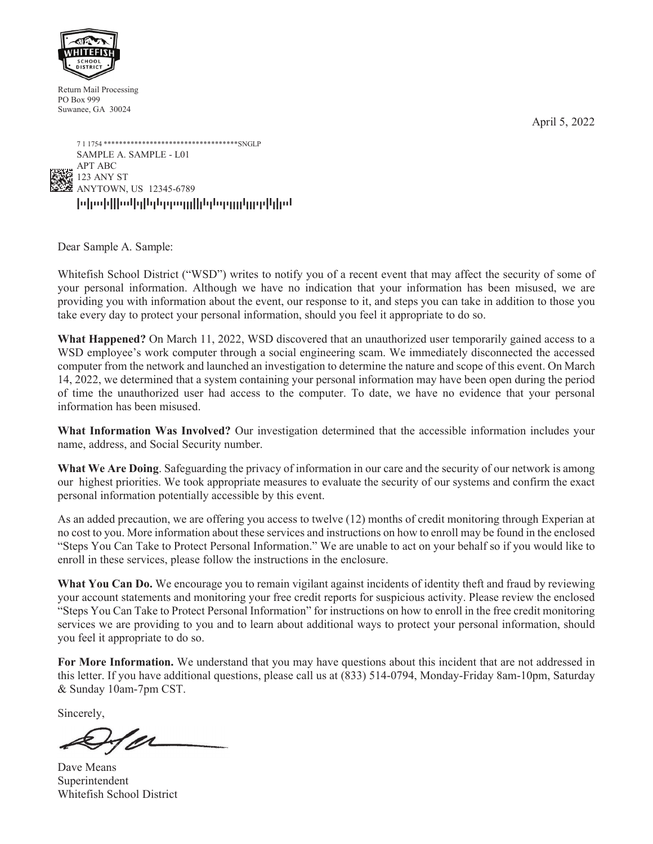April 5, 2022



Return Mail Processing PO Box 999 Suwanee, GA 30024



Dear Sample A. Sample:

Whitefish School District ("WSD") writes to notify you of a recent event that may affect the security of some of your personal information. Although we have no indication that your information has been misused, we are providing you with information about the event, our response to it, and steps you can take in addition to those you take every day to protect your personal information, should you feel it appropriate to do so.

**What Happened?** On March 11, 2022, WSD discovered that an unauthorized user temporarily gained access to a WSD employee's work computer through a social engineering scam. We immediately disconnected the accessed computer from the network and launched an investigation to determine the nature and scope of this event. On March 14, 2022, we determined that a system containing your personal information may have been open during the period of time the unauthorized user had access to the computer. To date, we have no evidence that your personal information has been misused.

**What Information Was Involved?** Our investigation determined that the accessible information includes your name, address, and Social Security number.

**What We Are Doing**. Safeguarding the privacy of information in our care and the security of our network is among our highest priorities. We took appropriate measures to evaluate the security of our systems and confirm the exact personal information potentially accessible by this event.

As an added precaution, we are offering you access to twelve (12) months of credit monitoring through Experian at no cost to you. More information about these services and instructions on how to enroll may be found in the enclosed "Steps You Can Take to Protect Personal Information." We are unable to act on your behalf so if you would like to enroll in these services, please follow the instructions in the enclosure.

**What You Can Do.** We encourage you to remain vigilant against incidents of identity theft and fraud by reviewing your account statements and monitoring your free credit reports for suspicious activity. Please review the enclosed "Steps You Can Take to Protect Personal Information" for instructions on how to enroll in the free credit monitoring services we are providing to you and to learn about additional ways to protect your personal information, should you feel it appropriate to do so.

**For More Information.** We understand that you may have questions about this incident that are not addressed in this letter. If you have additional questions, please call us at (833) 514-0794, Monday-Friday 8am-10pm, Saturday & Sunday 10am-7pm CST.

Sincerely,

Dave Means Superintendent Whitefish School District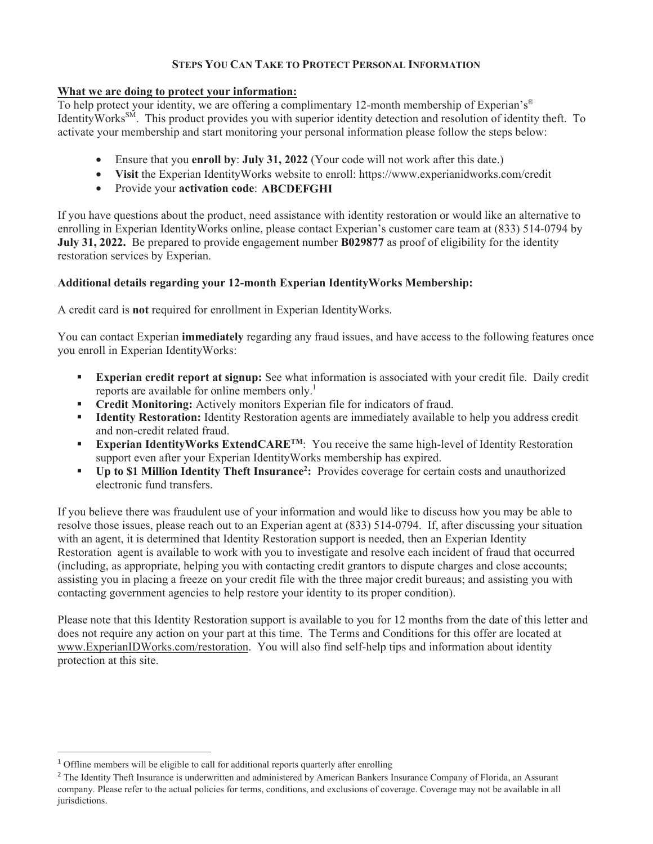# **STEPS YOU CAN TAKE TO PROTECT PERSONAL INFORMATION**

## **What we are doing to protect your information:**

To help protect your identity, we are offering a complimentary 12-month membership of Experian's<sup>®</sup> Identity Works<sup>SM</sup>. This product provides you with superior identity detection and resolution of identity theft. To activate your membership and start monitoring your personal information please follow the steps below:

- Ensure that you **enroll by: July 31, 2022** (Your code will not work after this date.)
- **Visit** the Experian IdentityWorks website to enroll: https://www.experianidworks.com/credit
- Provide your **activation code**: **ABCDEFGHI**

If you have questions about the product, need assistance with identity restoration or would like an alternative to enrolling in Experian IdentityWorks online, please contact Experian's customer care team at (833) 514-0794 by **July 31, 2022.** Be prepared to provide engagement number **B029877** as proof of eligibility for the identity restoration services by Experian.

# **Additional details regarding your 12-month Experian IdentityWorks Membership:**

A credit card is **not** required for enrollment in Experian IdentityWorks.

You can contact Experian **immediately** regarding any fraud issues, and have access to the following features once you enroll in Experian IdentityWorks:

- **Experian credit report at signup:** See what information is associated with your credit file. Daily credit reports are available for online members only.<sup>1</sup>
- **Credit Monitoring:** Actively monitors Experian file for indicators of fraud.
- **Identity Restoration:** Identity Restoration agents are immediately available to help you address credit and non-credit related fraud.
- **Experian IdentityWorks ExtendCARE<sup>TM</sup>:** You receive the same high-level of Identity Restoration support even after your Experian IdentityWorks membership has expired.
- **Up to \$1 Million Identity Theft Insurance<sup>2</sup>:** Provides coverage for certain costs and unauthorized electronic fund transfers.

If you believe there was fraudulent use of your information and would like to discuss how you may be able to resolve those issues, please reach out to an Experian agent at (833) 514-0794. If, after discussing your situation with an agent, it is determined that Identity Restoration support is needed, then an Experian Identity Restoration agent is available to work with you to investigate and resolve each incident of fraud that occurred (including, as appropriate, helping you with contacting credit grantors to dispute charges and close accounts; assisting you in placing a freeze on your credit file with the three major credit bureaus; and assisting you with contacting government agencies to help restore your identity to its proper condition).

Please note that this Identity Restoration support is available to you for 12 months from the date of this letter and does not require any action on your part at this time. The Terms and Conditions for this offer are located at www.ExperianIDWorks.com/restoration. You will also find self-help tips and information about identity protection at this site.

<sup>&</sup>lt;sup>1</sup> Offline members will be eligible to call for additional reports quarterly after enrolling

<sup>&</sup>lt;sup>2</sup> The Identity Theft Insurance is underwritten and administered by American Bankers Insurance Company of Florida, an Assurant company. Please refer to the actual policies for terms, conditions, and exclusions of coverage. Coverage may not be available in all jurisdictions.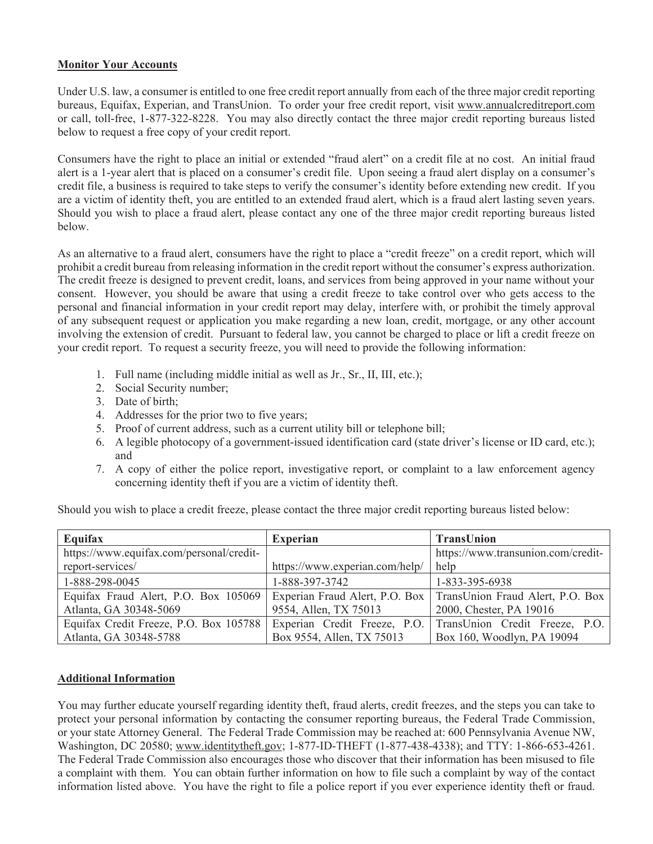## **Monitor Your Accounts**

Under U.S. law, a consumer is entitled to one free credit report annually from each of the three major credit reporting bureaus, Equifax, Experian, and TransUnion. To order your free credit report, visit www.annualcreditreport.com or call, toll-free, 1-877-322-8228. You may also directly contact the three major credit reporting bureaus listed below to request a free copy of your credit report.

Consumers have the right to place an initial or extended "fraud alert" on a credit file at no cost. An initial fraud alert is a 1-year alert that is placed on a consumer's credit file. Upon seeing a fraud alert display on a consumer's credit file, a business is required to take steps to verify the consumer's identity before extending new credit. If you are a victim of identity theft, you are entitled to an extended fraud alert, which is a fraud alert lasting seven years. Should you wish to place a fraud alert, please contact any one of the three major credit reporting bureaus listed below.

As an alternative to a fraud alert, consumers have the right to place a "credit freeze" on a credit report, which will prohibit a credit bureau from releasing information in the credit report without the consumer's express authorization. The credit freeze is designed to prevent credit, loans, and services from being approved in your name without your consent. However, you should be aware that using a credit freeze to take control over who gets access to the personal and financial information in your credit report may delay, interfere with, or prohibit the timely approval of any subsequent request or application you make regarding a new loan, credit, mortgage, or any other account involving the extension of credit. Pursuant to federal law, you cannot be charged to place or lift a credit freeze on your credit report. To request a security freeze, you will need to provide the following information:

- 1. Full name (including middle initial as well as Jr., Sr., II, III, etc.);
- 2. Social Security number;
- 3. Date of birth;
- 4. Addresses for the prior two to five years;
- 5. Proof of current address, such as a current utility bill or telephone bill;
- 6. A legible photocopy of a government-issued identification card (state driver's license or ID card, etc.); and
- 7. A copy of either the police report, investigative report, or complaint to a law enforcement agency concerning identity theft if you are a victim of identity theft.

Should you wish to place a credit freeze, please contact the three major credit reporting bureaus listed below:

| Equifax                                  | <b>Experian</b>                | <b>TransUnion</b>                                                 |
|------------------------------------------|--------------------------------|-------------------------------------------------------------------|
| https://www.equifax.com/personal/credit- |                                | https://www.transunion.com/credit-                                |
| report-services/                         | https://www.experian.com/help/ | help                                                              |
| 1-888-298-0045                           | 1-888-397-3742                 | 1-833-395-6938                                                    |
| Equifax Fraud Alert, P.O. Box 105069     |                                | Experian Fraud Alert, P.O. Box   TransUnion Fraud Alert, P.O. Box |
| Atlanta, GA 30348-5069                   | 9554, Allen, TX 75013          | 2000, Chester, PA 19016                                           |
| Equifax Credit Freeze, P.O. Box 105788   | Experian Credit Freeze, P.O.   | TransUnion Credit Freeze, P.O.                                    |
| Atlanta, GA 30348-5788                   | Box 9554, Allen, TX 75013      | Box 160, Woodlyn, PA 19094                                        |

#### **Additional Information**

You may further educate yourself regarding identity theft, fraud alerts, credit freezes, and the steps you can take to protect your personal information by contacting the consumer reporting bureaus, the Federal Trade Commission, or your state Attorney General.The Federal Trade Commission may be reached at: 600 Pennsylvania Avenue NW, Washington, DC 20580; www.identitytheft.gov; 1-877-ID-THEFT (1-877-438-4338); and TTY: 1-866-653-4261. The Federal Trade Commission also encourages those who discover that their information has been misused to file a complaint with them. You can obtain further information on how to file such a complaint by way of the contact information listed above. You have the right to file a police report if you ever experience identity theft or fraud.